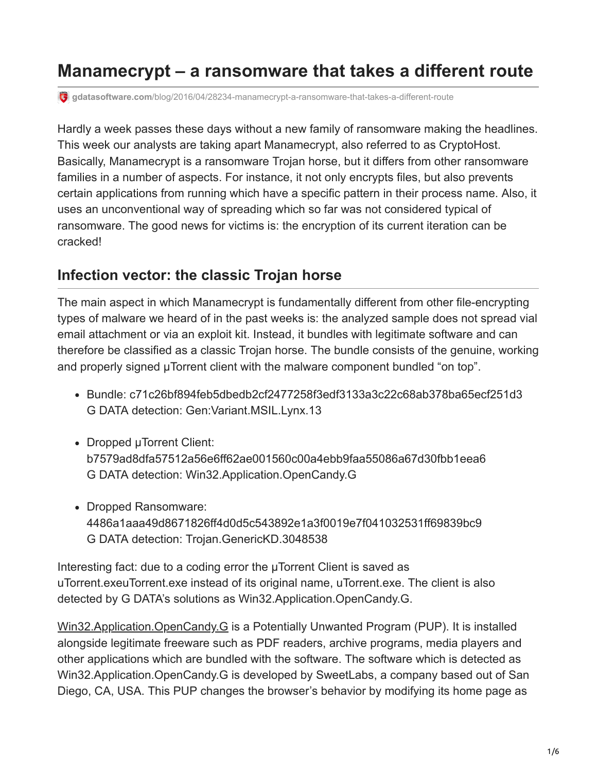# **Manamecrypt – a ransomware that takes a different route**

**gdatasoftware.com**[/blog/2016/04/28234-manamecrypt-a-ransomware-that-takes-a-different-route](https://www.gdatasoftware.com/blog/2016/04/28234-manamecrypt-a-ransomware-that-takes-a-different-route)

Hardly a week passes these days without a new family of ransomware making the headlines. This week our analysts are taking apart Manamecrypt, also referred to as CryptoHost. Basically, Manamecrypt is a ransomware Trojan horse, but it differs from other ransomware families in a number of aspects. For instance, it not only encrypts files, but also prevents certain applications from running which have a specific pattern in their process name. Also, it uses an unconventional way of spreading which so far was not considered typical of ransomware. The good news for victims is: the encryption of its current iteration can be cracked!

### **Infection vector: the classic Trojan horse**

The main aspect in which Manamecrypt is fundamentally different from other file-encrypting types of malware we heard of in the past weeks is: the analyzed sample does not spread vial email attachment or via an exploit kit. Instead, it bundles with legitimate software and can therefore be classified as a classic Trojan horse. The bundle consists of the genuine, working and properly signed µTorrent client with the malware component bundled "on top".

- Bundle: c71c26bf894feb5dbedb2cf2477258f3edf3133a3c22c68ab378ba65ecf251d3 G DATA detection: Gen:Variant.MSIL.Lynx.13
- Dropped µTorrent Client: b7579ad8dfa57512a56e6ff62ae001560c00a4ebb9faa55086a67d30fbb1eea6 G DATA detection: Win32.Application.OpenCandy.G
- Dropped Ransomware: 4486a1aaa49d8671826ff4d0d5c543892e1a3f0019e7f041032531ff69839bc9 G DATA detection: Trojan.GenericKD.3048538

Interesting fact: due to a coding error the µTorrent Client is saved as uTorrent.exeuTorrent.exe instead of its original name, uTorrent.exe. The client is also detected by G DATA's solutions as Win32.Application.OpenCandy.G.

[Win32.Application.OpenCandy.G](https://www.gdatasoftware.com/securitylabs/statistics) is a Potentially Unwanted Program (PUP). It is installed alongside legitimate freeware such as PDF readers, archive programs, media players and other applications which are bundled with the software. The software which is detected as Win32.Application.OpenCandy.G is developed by SweetLabs, a company based out of San Diego, CA, USA. This PUP changes the browser's behavior by modifying its home page as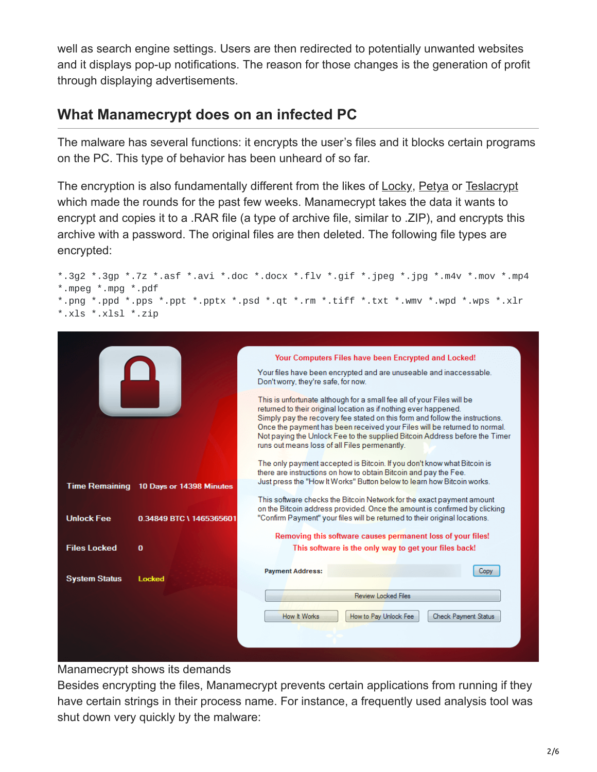well as search engine settings. Users are then redirected to potentially unwanted websites and it displays pop-up notifications. The reason for those changes is the generation of profit through displaying advertisements.

# **What Manamecrypt does on an infected PC**

The malware has several functions: it encrypts the user's files and it blocks certain programs on the PC. This type of behavior has been unheard of so far.

The encryption is also fundamentally different from the likes of [Locky,](https://www.gdatasoftware.com/blog/2016/02/25209-encryption-trojan-locky-what-you-need-to-know-about-the-ransomware) [Petya](https://www.gdatasoftware.com/blog/2016/03/28213-ransomware-petya-encrypts-hard-drives) or [Teslacrypt](https://www.gdatasoftware.com/blog/2015/12/25211-invoices-that-might-double-in-size) which made the rounds for the past few weeks. Manamecrypt takes the data it wants to encrypt and copies it to a .RAR file (a type of archive file, similar to .ZIP), and encrypts this archive with a password. The original files are then deleted. The following file types are encrypted:

```
*.3g2 *.3gp *.7z *.asf *.avi *.doc *.docx *.flv *.gif *.jpeg *.jpg *.m4v *.mov *.mp4
*.mpeg *.mpg *.pdf
*.png *.ppd *.pps *.ppt *.pptx *.psd *.qt *.rm *.tiff *.txt *.wmv *.wpd *.wps *.xlr
*.xls *.xlsl *.zip
```


#### Manamecrypt shows its demands

Besides encrypting the files, Manamecrypt prevents certain applications from running if they have certain strings in their process name. For instance, a frequently used analysis tool was shut down very quickly by the malware: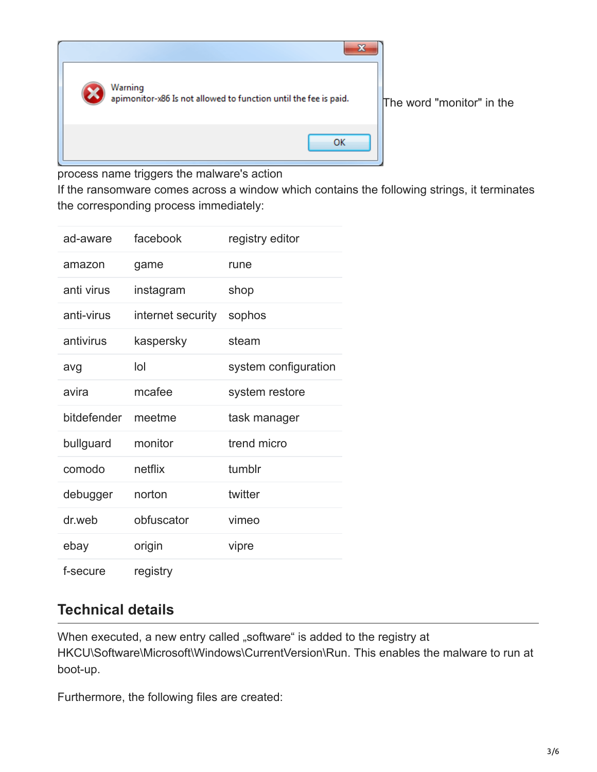

process name triggers the malware's action

If the ransomware comes across a window which contains the following strings, it terminates the corresponding process immediately:

| ad-aware    | facebook          | registry editor      |
|-------------|-------------------|----------------------|
| amazon      | game              | rune                 |
| anti virus  | instagram         | shop                 |
| anti-virus  | internet security | sophos               |
| antivirus   | kaspersky         | steam                |
| avg         | lol               | system configuration |
| avira       | mcafee            | system restore       |
| bitdefender | meetme            | task manager         |
| bullguard   | monitor           | trend micro          |
| comodo      | netflix           | tumblr               |
| debugger    | norton            | twitter              |
| dr.web      | obfuscator        | vimeo                |
| ebay        |                   |                      |
|             | origin            | vipre                |

### **Technical details**

When executed, a new entry called "software" is added to the registry at HKCU\Software\Microsoft\Windows\CurrentVersion\Run. This enables the malware to run at boot-up.

Furthermore, the following files are created: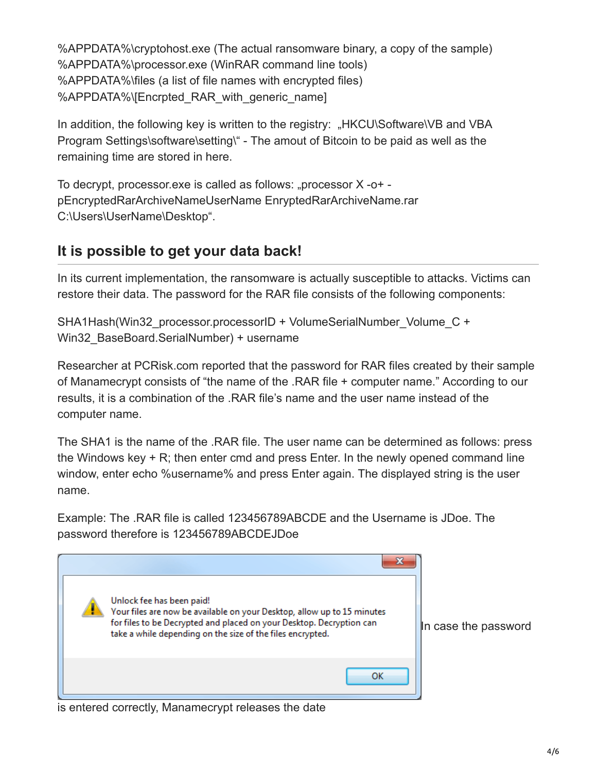%APPDATA%\cryptohost.exe (The actual ransomware binary, a copy of the sample) %APPDATA%\processor.exe (WinRAR command line tools) %APPDATA%\files (a list of file names with encrypted files) %APPDATA%\[Encrpted\_RAR\_with\_generic\_name]

In addition, the following key is written to the registry: "HKCU\Software\VB and VBA Program Settings\software\setting\" - The amout of Bitcoin to be paid as well as the remaining time are stored in here.

To decrypt, processor.exe is called as follows: "processor  $X -0$ + pEncryptedRarArchiveNameUserName EnryptedRarArchiveName.rar C:\Users\UserName\Desktop".

# **It is possible to get your data back!**

In its current implementation, the ransomware is actually susceptible to attacks. Victims can restore their data. The password for the RAR file consists of the following components:

SHA1Hash(Win32\_processor.processorID + VolumeSerialNumber\_Volume\_C + Win32\_BaseBoard.SerialNumber) + username

Researcher at PCRisk.com reported that the password for RAR files created by their sample of Manamecrypt consists of "the name of the .RAR file + computer name." According to our results, it is a combination of the .RAR file's name and the user name instead of the computer name.

The SHA1 is the name of the .RAR file. The user name can be determined as follows: press the Windows key + R; then enter cmd and press Enter. In the newly opened command line window, enter echo %username% and press Enter again. The displayed string is the user name.

Example: The .RAR file is called 123456789ABCDE and the Username is JDoe. The password therefore is 123456789ABCDEJDoe



is entered correctly, Manamecrypt releases the date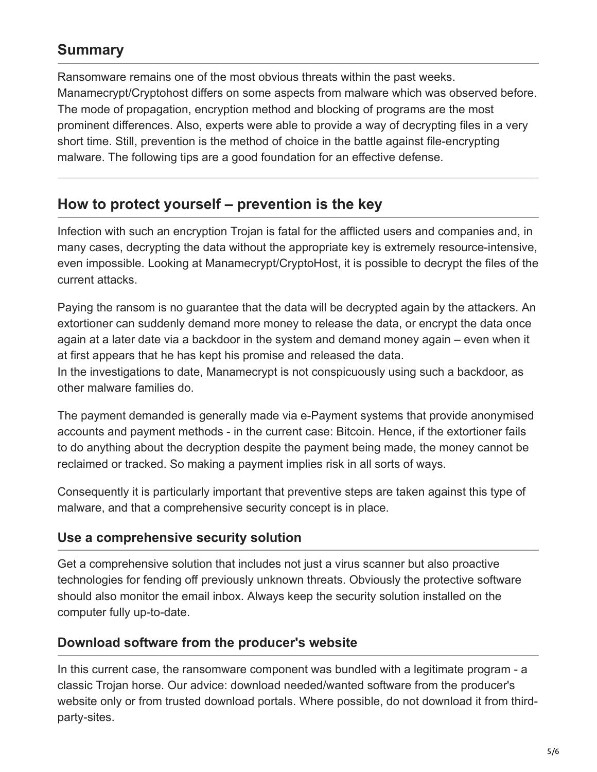# **Summary**

Ransomware remains one of the most obvious threats within the past weeks. Manamecrypt/Cryptohost differs on some aspects from malware which was observed before. The mode of propagation, encryption method and blocking of programs are the most prominent differences. Also, experts were able to provide a way of decrypting files in a very short time. Still, prevention is the method of choice in the battle against file-encrypting malware. The following tips are a good foundation for an effective defense.

# **How to protect yourself – prevention is the key**

Infection with such an encryption Trojan is fatal for the afflicted users and companies and, in many cases, decrypting the data without the appropriate key is extremely resource-intensive, even impossible. Looking at Manamecrypt/CryptoHost, it is possible to decrypt the files of the current attacks.

Paying the ransom is no guarantee that the data will be decrypted again by the attackers. An extortioner can suddenly demand more money to release the data, or encrypt the data once again at a later date via a backdoor in the system and demand money again – even when it at first appears that he has kept his promise and released the data.

In the investigations to date, Manamecrypt is not conspicuously using such a backdoor, as other malware families do.

The payment demanded is generally made via e-Payment systems that provide anonymised accounts and payment methods - in the current case: Bitcoin. Hence, if the extortioner fails to do anything about the decryption despite the payment being made, the money cannot be reclaimed or tracked. So making a payment implies risk in all sorts of ways.

Consequently it is particularly important that preventive steps are taken against this type of malware, and that a comprehensive security concept is in place.

### **Use a comprehensive security solution**

Get a comprehensive solution that includes not just a virus scanner but also proactive technologies for fending off previously unknown threats. Obviously the protective software should also monitor the email inbox. Always keep the security solution installed on the computer fully up-to-date.

### **Download software from the producer's website**

In this current case, the ransomware component was bundled with a legitimate program - a classic Trojan horse. Our advice: download needed/wanted software from the producer's website only or from trusted download portals. Where possible, do not download it from thirdparty-sites.